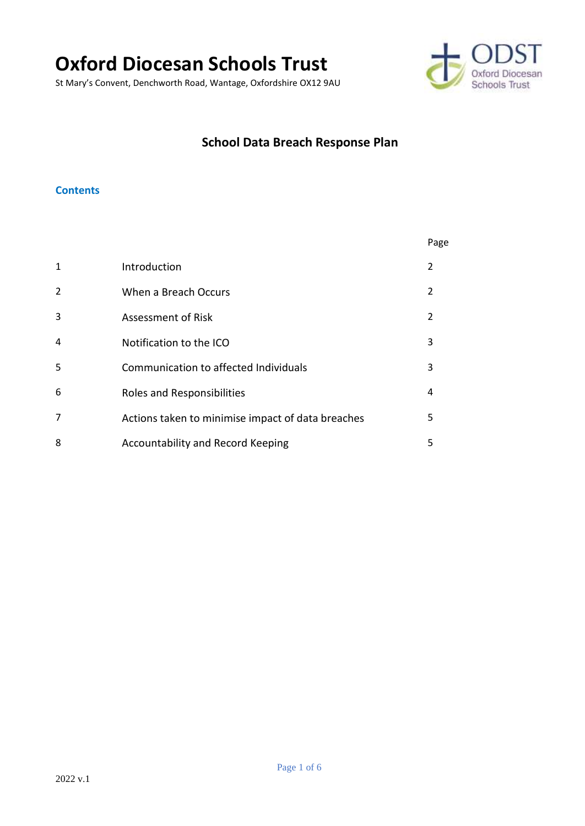# **Oxford Diocesan Schools Trust**

St Mary's Convent, Denchworth Road, Wantage, Oxfordshire OX12 9AU



## **School Data Breach Response Plan**

#### **Contents**

|                |                                                   | Page          |
|----------------|---------------------------------------------------|---------------|
| $\mathbf{1}$   | Introduction                                      | $\mathcal{P}$ |
| 2              | When a Breach Occurs                              | $\mathcal{L}$ |
| 3              | Assessment of Risk                                | 2             |
| $\overline{4}$ | Notification to the ICO                           | 3             |
| 5              | Communication to affected Individuals             | 3             |
| 6              | Roles and Responsibilities                        | 4             |
| 7              | Actions taken to minimise impact of data breaches | 5             |
| 8              | Accountability and Record Keeping                 | 5             |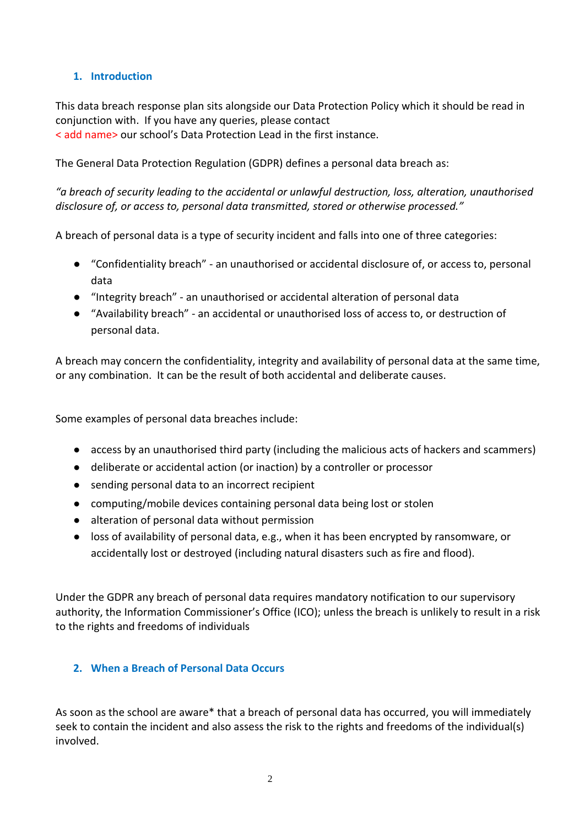#### **1. Introduction**

This data breach response plan sits alongside our Data Protection Policy which it should be read in conjunction with. If you have any queries, please contact < add name> our school's Data Protection Lead in the first instance.

The General Data Protection Regulation (GDPR) defines a personal data breach as:

*"a breach of security leading to the accidental or unlawful destruction, loss, alteration, unauthorised disclosure of, or access to, personal data transmitted, stored or otherwise processed."*

A breach of personal data is a type of security incident and falls into one of three categories:

- "Confidentiality breach" an unauthorised or accidental disclosure of, or access to, personal data
- "Integrity breach" an unauthorised or accidental alteration of personal data
- "Availability breach" an accidental or unauthorised loss of access to, or destruction of personal data.

A breach may concern the confidentiality, integrity and availability of personal data at the same time, or any combination. It can be the result of both accidental and deliberate causes.

Some examples of personal data breaches include:

- access by an unauthorised third party (including the malicious acts of hackers and scammers)
- deliberate or accidental action (or inaction) by a controller or processor
- sending personal data to an incorrect recipient
- computing/mobile devices containing personal data being lost or stolen
- alteration of personal data without permission
- loss of availability of personal data, e.g., when it has been encrypted by ransomware, or accidentally lost or destroyed (including natural disasters such as fire and flood).

Under the GDPR any breach of personal data requires mandatory notification to our supervisory authority, the Information Commissioner's Office (ICO); unless the breach is unlikely to result in a risk to the rights and freedoms of individuals

#### **2. When a Breach of Personal Data Occurs**

As soon as the school are aware\* that a breach of personal data has occurred, you will immediately seek to contain the incident and also assess the risk to the rights and freedoms of the individual(s) involved.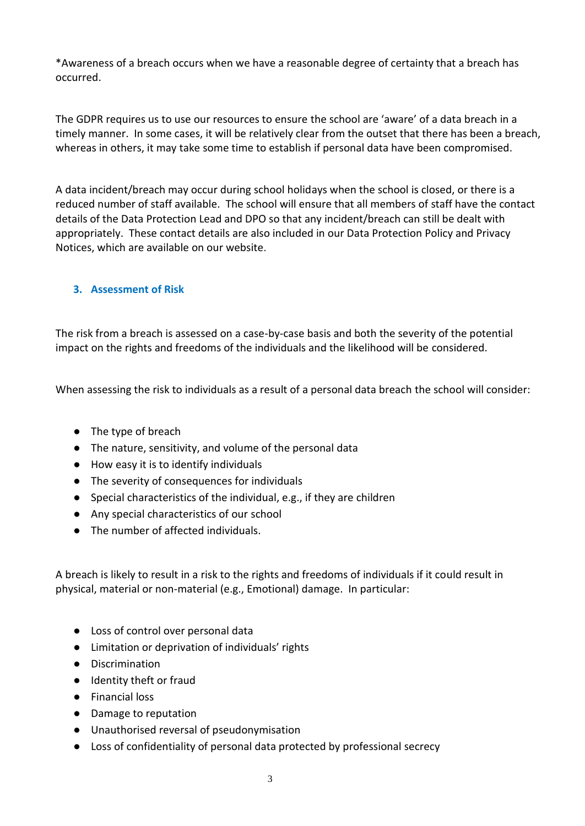\*Awareness of a breach occurs when we have a reasonable degree of certainty that a breach has occurred.

The GDPR requires us to use our resources to ensure the school are 'aware' of a data breach in a timely manner. In some cases, it will be relatively clear from the outset that there has been a breach, whereas in others, it may take some time to establish if personal data have been compromised.

A data incident/breach may occur during school holidays when the school is closed, or there is a reduced number of staff available. The school will ensure that all members of staff have the contact details of the Data Protection Lead and DPO so that any incident/breach can still be dealt with appropriately. These contact details are also included in our Data Protection Policy and Privacy Notices, which are available on our website.

#### **3. Assessment of Risk**

The risk from a breach is assessed on a case-by-case basis and both the severity of the potential impact on the rights and freedoms of the individuals and the likelihood will be considered.

When assessing the risk to individuals as a result of a personal data breach the school will consider:

- The type of breach
- The nature, sensitivity, and volume of the personal data
- How easy it is to identify individuals
- The severity of consequences for individuals
- Special characteristics of the individual, e.g., if they are children
- Any special characteristics of our school
- The number of affected individuals.

A breach is likely to result in a risk to the rights and freedoms of individuals if it could result in physical, material or non-material (e.g., Emotional) damage. In particular:

- Loss of control over personal data
- Limitation or deprivation of individuals' rights
- Discrimination
- Identity theft or fraud
- Financial loss
- Damage to reputation
- Unauthorised reversal of pseudonymisation
- Loss of confidentiality of personal data protected by professional secrecy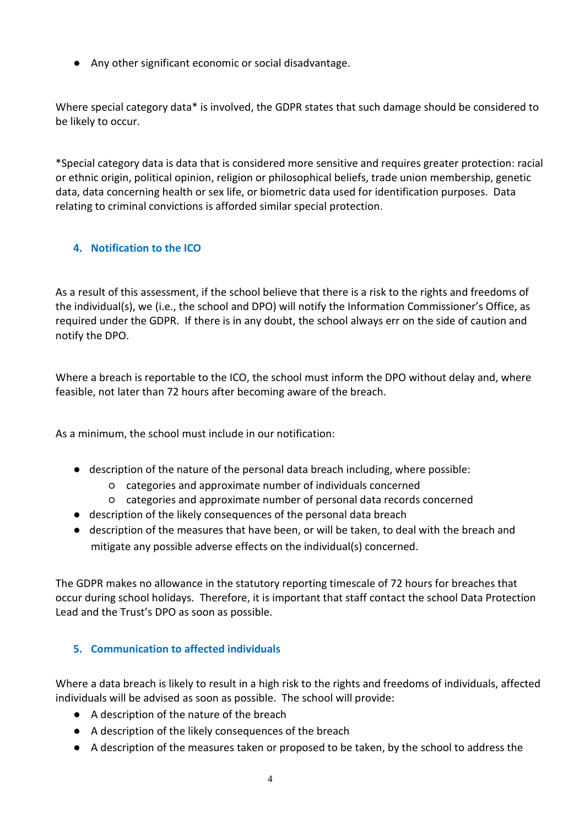● Any other significant economic or social disadvantage.

Where special category data\* is involved, the GDPR states that such damage should be considered to be likely to occur.

\*Special category data is data that is considered more sensitive and requires greater protection: racial or ethnic origin, political opinion, religion or philosophical beliefs, trade union membership, genetic data, data concerning health or sex life, or biometric data used for identification purposes. Data relating to criminal convictions is afforded similar special protection.

#### **4. Notification to the ICO**

As a result of this assessment, if the school believe that there is a risk to the rights and freedoms of the individual(s), we (i.e., the school and DPO) will notify the Information Commissioner's Office, as required under the GDPR. If there is in any doubt, the school always err on the side of caution and notify the DPO.

Where a breach is reportable to the ICO, the school must inform the DPO without delay and, where feasible, not later than 72 hours after becoming aware of the breach.

As a minimum, the school must include in our notification:

- description of the nature of the personal data breach including, where possible:
	- categories and approximate number of individuals concerned
	- categories and approximate number of personal data records concerned
- description of the likely consequences of the personal data breach
- description of the measures that have been, or will be taken, to deal with the breach and mitigate any possible adverse effects on the individual(s) concerned.

The GDPR makes no allowance in the statutory reporting timescale of 72 hours for breaches that occur during school holidays. Therefore, it is important that staff contact the school Data Protection Lead and the Trust's DPO as soon as possible.

#### **5. Communication to affected individuals**

Where a data breach is likely to result in a high risk to the rights and freedoms of individuals, affected individuals will be advised as soon as possible. The school will provide:

- A description of the nature of the breach
- A description of the likely consequences of the breach
- A description of the measures taken or proposed to be taken, by the school to address the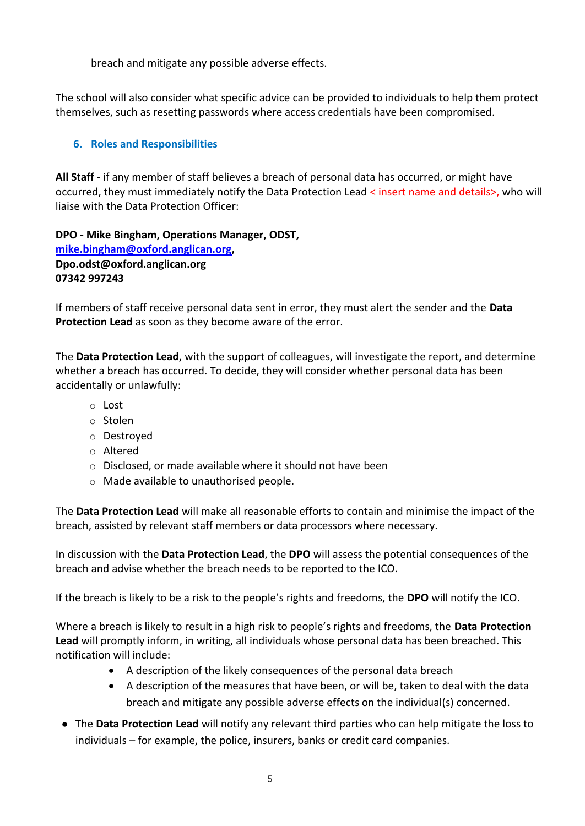breach and mitigate any possible adverse effects.

The school will also consider what specific advice can be provided to individuals to help them protect themselves, such as resetting passwords where access credentials have been compromised.

### **6. Roles and Responsibilities**

**All Staff** - if any member of staff believes a breach of personal data has occurred, or might have occurred, they must immediately notify the Data Protection Lead < insert name and details>, who will liaise with the Data Protection Officer:

#### **DPO - Mike Bingham, Operations Manager, ODST, [mike.bingham@oxford.anglican.org,](mailto:mike.bingham@oxford.anglican.org) Dpo.odst@oxford.anglican.org 07342 997243**

If members of staff receive personal data sent in error, they must alert the sender and the **Data Protection Lead** as soon as they become aware of the error.

The **Data Protection Lead**, with the support of colleagues, will investigate the report, and determine whether a breach has occurred. To decide, they will consider whether personal data has been accidentally or unlawfully:

- o Lost
- o Stolen
- o Destroyed
- o Altered
- o Disclosed, or made available where it should not have been
- o Made available to unauthorised people.

The **Data Protection Lead** will make all reasonable efforts to contain and minimise the impact of the breach, assisted by relevant staff members or data processors where necessary.

In discussion with the **Data Protection Lead**, the **DPO** will assess the potential consequences of the breach and advise whether the breach needs to be reported to the ICO.

If the breach is likely to be a risk to the people's rights and freedoms, the **DPO** will notify the ICO.

Where a breach is likely to result in a high risk to people's rights and freedoms, the **Data Protection Lead** will promptly inform, in writing, all individuals whose personal data has been breached. This notification will include:

- A description of the likely consequences of the personal data breach
- A description of the measures that have been, or will be, taken to deal with the data breach and mitigate any possible adverse effects on the individual(s) concerned.
- The **Data Protection Lead** will notify any relevant third parties who can help mitigate the loss to individuals – for example, the police, insurers, banks or credit card companies.